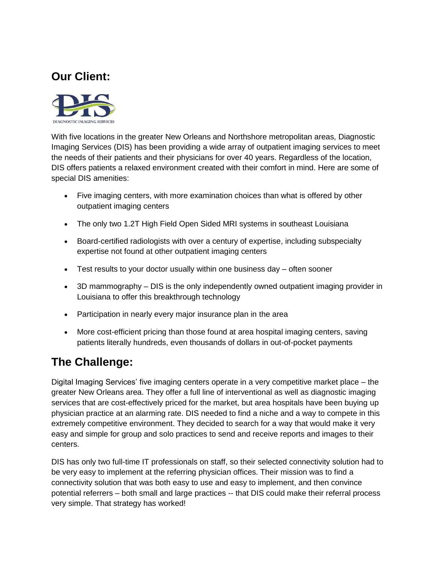## **Our Client:**



With five locations in the greater New Orleans and Northshore metropolitan areas, Diagnostic Imaging Services (DIS) has been providing a wide array of outpatient imaging services to meet the needs of their patients and their physicians for over 40 years. Regardless of the location, DIS offers patients a relaxed environment created with their comfort in mind. Here are some of special DIS amenities:

- Five imaging centers, with more examination choices than what is offered by other outpatient imaging centers
- The only two 1.2T High Field Open Sided MRI systems in southeast Louisiana
- Board-certified radiologists with over a century of expertise, including subspecialty expertise not found at other outpatient imaging centers
- Test results to your doctor usually within one business day often sooner
- 3D mammography DIS is the only independently owned outpatient imaging provider in Louisiana to offer this breakthrough technology
- Participation in nearly every major insurance plan in the area
- More cost-efficient pricing than those found at area hospital imaging centers, saving patients literally hundreds, even thousands of dollars in out-of-pocket payments

## **The Challenge:**

Digital Imaging Services' five imaging centers operate in a very competitive market place – the greater New Orleans area. They offer a full line of interventional as well as diagnostic imaging services that are cost-effectively priced for the market, but area hospitals have been buying up physician practice at an alarming rate. DIS needed to find a niche and a way to compete in this extremely competitive environment. They decided to search for a way that would make it very easy and simple for group and solo practices to send and receive reports and images to their centers.

DIS has only two full-time IT professionals on staff, so their selected connectivity solution had to be very easy to implement at the referring physician offices. Their mission was to find a connectivity solution that was both easy to use and easy to implement, and then convince potential referrers – both small and large practices -- that DIS could make their referral process very simple. That strategy has worked!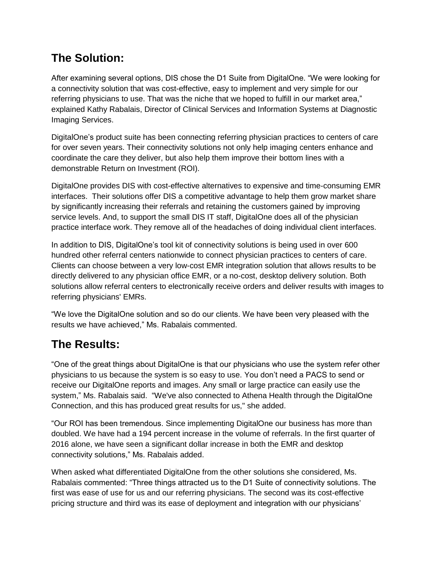## **The Solution:**

After examining several options, DIS chose the D1 Suite from DigitalOne. "We were looking for a connectivity solution that was cost-effective, easy to implement and very simple for our referring physicians to use. That was the niche that we hoped to fulfill in our market area," explained Kathy Rabalais, Director of Clinical Services and Information Systems at Diagnostic Imaging Services.

DigitalOne's product suite has been connecting referring physician practices to centers of care for over seven years. Their connectivity solutions not only help imaging centers enhance and coordinate the care they deliver, but also help them improve their bottom lines with a demonstrable Return on Investment (ROI).

DigitalOne provides DIS with cost-effective alternatives to expensive and time-consuming EMR interfaces. Their solutions offer DIS a competitive advantage to help them grow market share by significantly increasing their referrals and retaining the customers gained by improving service levels. And, to support the small DIS IT staff, DigitalOne does all of the physician practice interface work. They remove all of the headaches of doing individual client interfaces.

In addition to DIS, DigitalOne's tool kit of connectivity solutions is being used in over 600 hundred other referral centers nationwide to connect physician practices to centers of care. Clients can choose between a very low-cost EMR integration solution that allows results to be directly delivered to any physician office EMR, or a no-cost, desktop delivery solution. Both solutions allow referral centers to electronically receive orders and deliver results with images to referring physicians' EMRs.

"We love the DigitalOne solution and so do our clients. We have been very pleased with the results we have achieved," Ms. Rabalais commented.

## **The Results:**

"One of the great things about DigitalOne is that our physicians who use the system refer other physicians to us because the system is so easy to use. You don't need a PACS to send or receive our DigitalOne reports and images. Any small or large practice can easily use the system," Ms. Rabalais said. "We've also connected to Athena Health through the DigitalOne Connection, and this has produced great results for us," she added.

"Our ROI has been tremendous. Since implementing DigitalOne our business has more than doubled. We have had a 194 percent increase in the volume of referrals. In the first quarter of 2016 alone, we have seen a significant dollar increase in both the EMR and desktop connectivity solutions," Ms. Rabalais added.

When asked what differentiated DigitalOne from the other solutions she considered, Ms. Rabalais commented: "Three things attracted us to the D1 Suite of connectivity solutions. The first was ease of use for us and our referring physicians. The second was its cost-effective pricing structure and third was its ease of deployment and integration with our physicians'